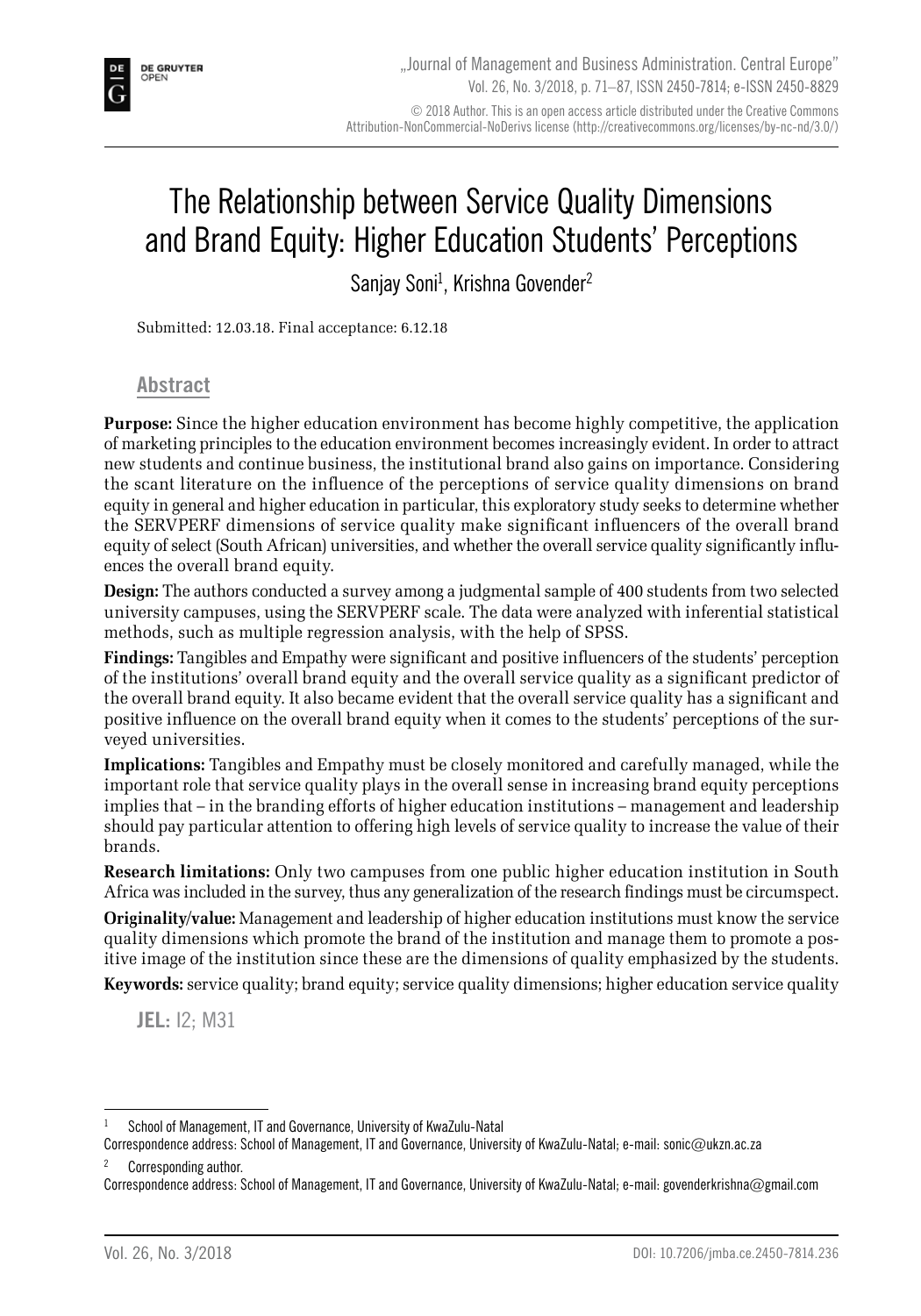# The Relationship between Service Quality Dimensions and Brand Equity: Higher Education Students' Perceptions

Sanjay Soni<sup>1</sup>, Krishna Govender<sup>2</sup>

Submitted: 12.03.18. Final acceptance: 6.12.18

#### **Abstract**

**Purpose:** Since the higher education environment has become highly competitive, the application of marketing principles to the education environment becomes increasingly evident. In order to attract new students and continue business, the institutional brand also gains on importance. Considering the scant literature on the influence of the perceptions of service quality dimensions on brand equity in general and higher education in particular, this exploratory study seeks to determine whether the SERVPERF dimensions of service quality make significant influencers of the overall brand equity of select (South African) universities, and whether the overall service quality significantly influences the overall brand equity.

**Design:** The authors conducted a survey among a judgmental sample of 400 students from two selected university campuses, using the SERVPERF scale. The data were analyzed with inferential statistical methods, such as multiple regression analysis, with the help of SPSS.

**Findings:** Tangibles and Empathy were significant and positive influencers of the students' perception of the institutions' overall brand equity and the overall service quality as a significant predictor of the overall brand equity. It also became evident that the overall service quality has a significant and positive influence on the overall brand equity when it comes to the students' perceptions of the surveyed universities.

**Implications:** Tangibles and Empathy must be closely monitored and carefully managed, while the important role that service quality plays in the overall sense in increasing brand equity perceptions implies that – in the branding efforts of higher education institutions – management and leadership should pay particular attention to offering high levels of service quality to increase the value of their brands.

**Research limitations:** Only two campuses from one public higher education institution in South Africa was included in the survey, thus any generalization of the research findings must be circumspect.

**Originality/value:** Management and leadership of higher education institutions must know the service quality dimensions which promote the brand of the institution and manage them to promote a positive image of the institution since these are the dimensions of quality emphasized by the students.

**Keywords:** service quality; brand equity; service quality dimensions; higher education service quality

**JEL:** I2; M31

Corresponding author.

School of Management, IT and Governance, University of KwaZulu-Natal

Correspondence address: School of Management, IT and Governance, University of KwaZulu-Natal; e-mail: sonic@ukzn.ac.za

Correspondence address: School of Management, IT and Governance, University of KwaZulu-Natal; e-mail: govenderkrishna@gmail.com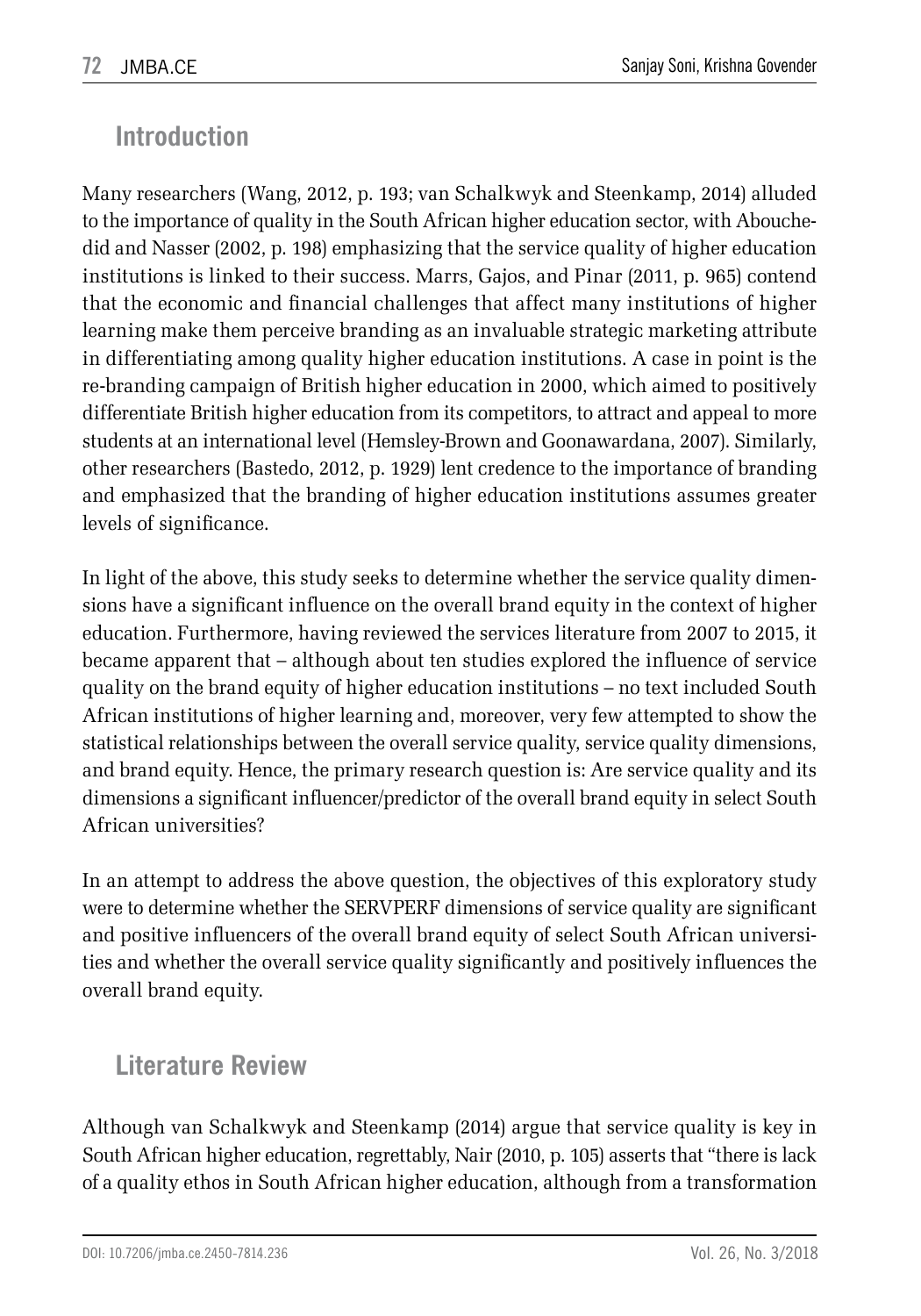### **Introduction**

Many researchers (Wang, 2012, p. 193; van Schalkwyk and Steenkamp, 2014) alluded to the importance of quality in the South African higher education sector, with Abouchedid and Nasser (2002, p. 198) emphasizing that the service quality of higher education institutions is linked to their success. Marrs, Gajos, and Pinar (2011, p. 965) contend that the economic and financial challenges that affect many institutions of higher learning make them perceive branding as an invaluable strategic marketing attribute in differentiating among quality higher education institutions. A case in point is the re-branding campaign of British higher education in 2000, which aimed to positively differentiate British higher education from its competitors, to attract and appeal to more students at an international level (Hemsley-Brown and Goonawardana, 2007). Similarly, other researchers (Bastedo, 2012, p. 1929) lent credence to the importance of branding and emphasized that the branding of higher education institutions assumes greater levels of significance.

In light of the above, this study seeks to determine whether the service quality dimensions have a significant influence on the overall brand equity in the context of higher education. Furthermore, having reviewed the services literature from 2007 to 2015, it became apparent that – although about ten studies explored the influence of service quality on the brand equity of higher education institutions – no text included South African institutions of higher learning and, moreover, very few attempted to show the statistical relationships between the overall service quality, service quality dimensions, and brand equity. Hence, the primary research question is: Are service quality and its dimensions a significant influencer/predictor of the overall brand equity in select South African universities?

In an attempt to address the above question, the objectives of this exploratory study were to determine whether the SERVPERF dimensions of service quality are significant and positive influencers of the overall brand equity of select South African universities and whether the overall service quality significantly and positively influences the overall brand equity.

### **Literature Review**

Although van Schalkwyk and Steenkamp (2014) argue that service quality is key in South African higher education, regrettably, Nair (2010, p. 105) asserts that "there is lack of a quality ethos in South African higher education, although from a transformation

DOI: 10.7206/jmba.ce.2450-7814.236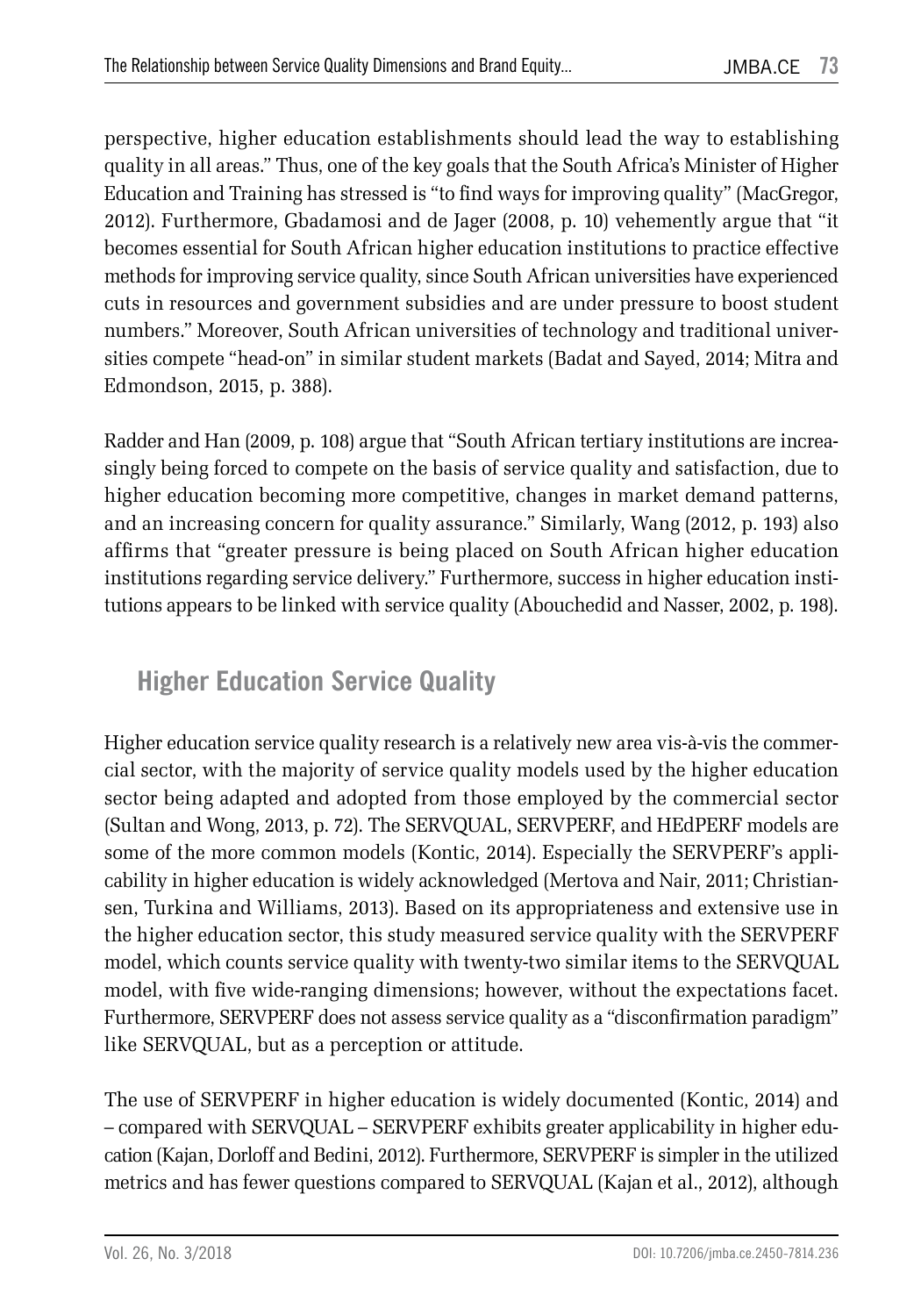perspective, higher education establishments should lead the way to establishing quality in all areas." Thus, one of the key goals that the South Africa's Minister of Higher Education and Training has stressed is "to find ways for improving quality" (MacGregor, 2012). Furthermore, Gbadamosi and de Jager (2008, p. 10) vehemently argue that "it becomes essential for South African higher education institutions to practice effective methods for improving service quality, since South African universities have experienced cuts in resources and government subsidies and are under pressure to boost student numbers." Moreover, South African universities of technology and traditional universities compete "head-on" in similar student markets (Badat and Sayed, 2014; Mitra and Edmondson, 2015, p. 388).

Radder and Han (2009, p. 108) argue that "South African tertiary institutions are increasingly being forced to compete on the basis of service quality and satisfaction, due to higher education becoming more competitive, changes in market demand patterns, and an increasing concern for quality assurance." Similarly, Wang (2012, p. 193) also affirms that "greater pressure is being placed on South African higher education institutions regarding service delivery." Furthermore, success in higher education institutions appears to be linked with service quality (Abouchedid and Nasser, 2002, p. 198).

### **Higher Education Service Quality**

Higher education service quality research is a relatively new area vis-à-vis the commercial sector, with the majority of service quality models used by the higher education sector being adapted and adopted from those employed by the commercial sector (Sultan and Wong, 2013, p. 72). The SERVQUAL, SERVPERF, and HEdPERF models are some of the more common models (Kontic, 2014). Especially the SERVPERF's applicability in higher education is widely acknowledged (Mertova and Nair, 2011; Christiansen, Turkina and Williams, 2013). Based on its appropriateness and extensive use in the higher education sector, this study measured service quality with the SERVPERF model, which counts service quality with twenty-two similar items to the SERVQUAL model, with five wide-ranging dimensions; however, without the expectations facet. Furthermore, SERVPERF does not assess service quality as a "disconfirmation paradigm" like SERVQUAL, but as a perception or attitude.

The use of SERVPERF in higher education is widely documented (Kontic, 2014) and – compared with SERVQUAL – SERVPERF exhibits greater applicability in higher education (Kajan, Dorloff and Bedini, 2012). Furthermore, SERVPERF is simpler in the utilized metrics and has fewer questions compared to SERVQUAL (Kajan et al., 2012), although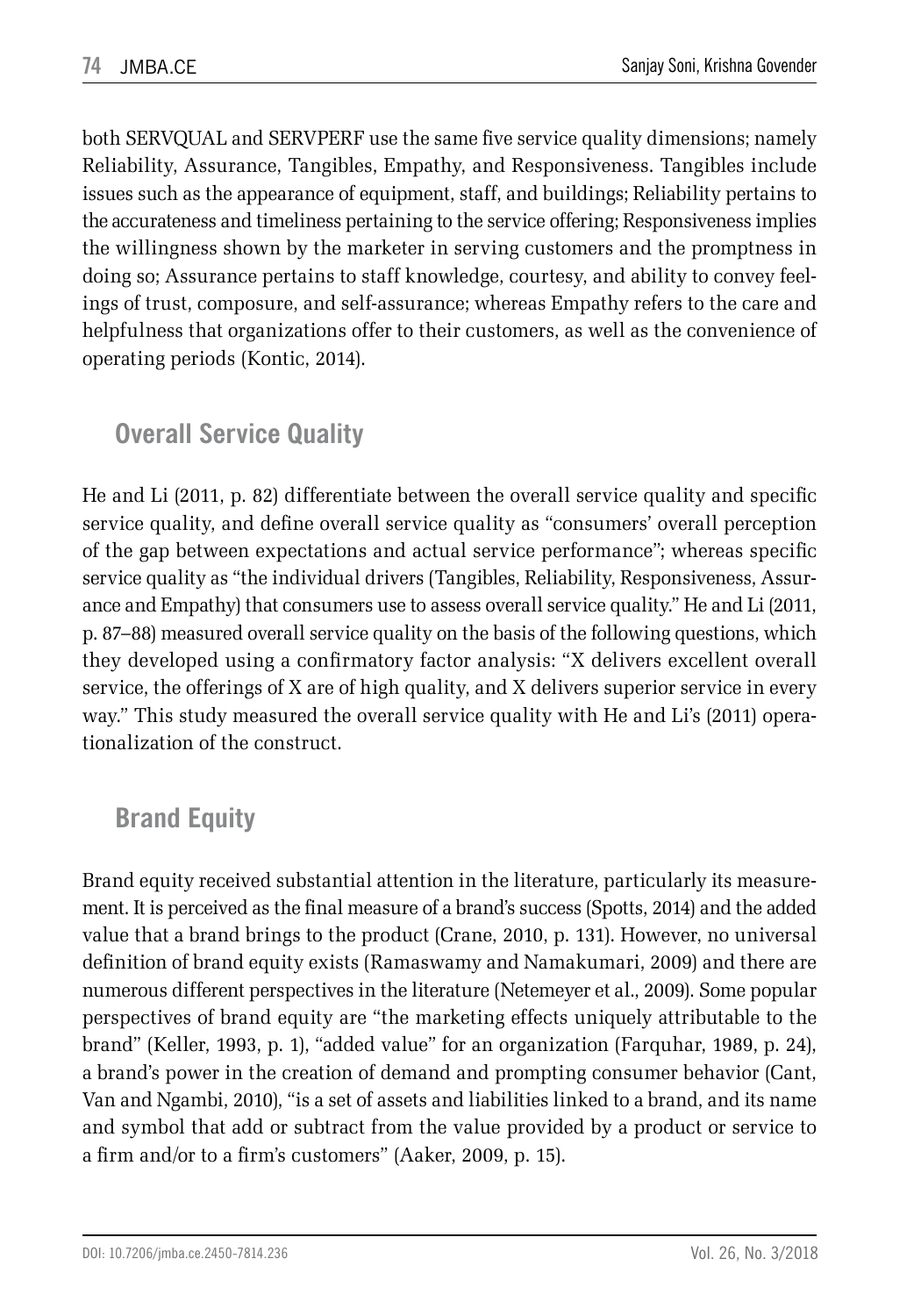both SERVQUAL and SERVPERF use the same five service quality dimensions; namely Reliability, Assurance, Tangibles, Empathy, and Responsiveness. Tangibles include issues such as the appearance of equipment, staff, and buildings; Reliability pertains to the accurateness and timeliness pertaining to the service offering; Responsiveness implies the willingness shown by the marketer in serving customers and the promptness in doing so; Assurance pertains to staff knowledge, courtesy, and ability to convey feelings of trust, composure, and self-assurance; whereas Empathy refers to the care and helpfulness that organizations offer to their customers, as well as the convenience of operating periods (Kontic, 2014).

### **Overall Service Quality**

He and Li (2011, p. 82) differentiate between the overall service quality and specific service quality, and define overall service quality as "consumers' overall perception of the gap between expectations and actual service performance"; whereas specific service quality as "the individual drivers (Tangibles, Reliability, Responsiveness, Assurance and Empathy) that consumers use to assess overall service quality." He and Li (2011, p. 87–88) measured overall service quality on the basis of the following questions, which they developed using a confirmatory factor analysis: "X delivers excellent overall service, the offerings of X are of high quality, and X delivers superior service in every way." This study measured the overall service quality with He and Li's (2011) operationalization of the construct.

# **Brand Equity**

Brand equity received substantial attention in the literature, particularly its measurement. It is perceived as the final measure of a brand's success (Spotts, 2014) and the added value that a brand brings to the product (Crane, 2010, p. 131). However, no universal definition of brand equity exists (Ramaswamy and Namakumari, 2009) and there are numerous different perspectives in the literature (Netemeyer et al., 2009). Some popular perspectives of brand equity are "the marketing effects uniquely attributable to the brand" (Keller, 1993, p. 1), "added value" for an organization (Farquhar, 1989, p. 24), a brand's power in the creation of demand and prompting consumer behavior (Cant, Van and Ngambi, 2010), "is a set of assets and liabilities linked to a brand, and its name and symbol that add or subtract from the value provided by a product or service to a firm and/or to a firm's customers" (Aaker, 2009, p. 15).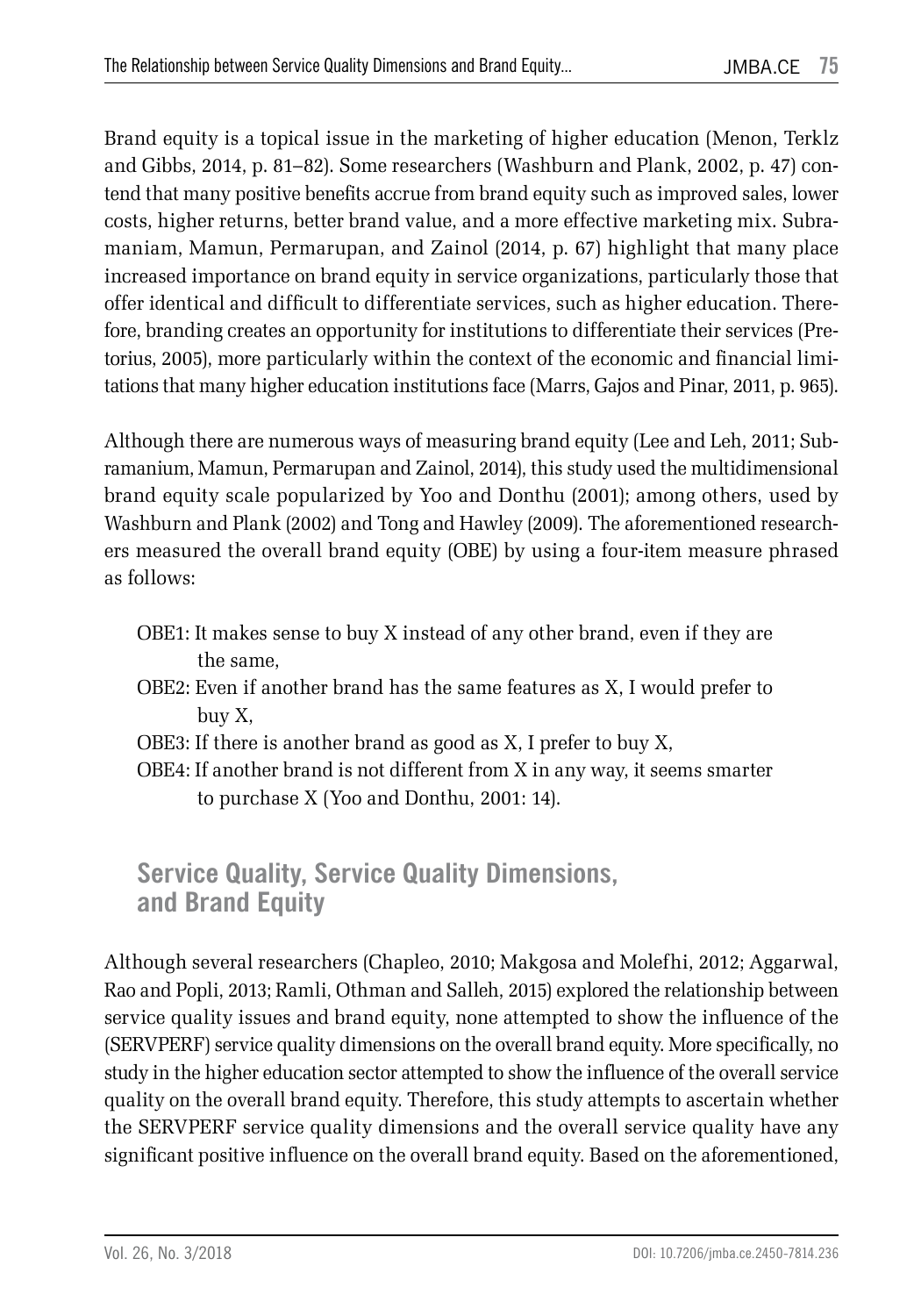Brand equity is a topical issue in the marketing of higher education (Menon, Terklz and Gibbs, 2014, p. 81–82). Some researchers (Washburn and Plank, 2002, p. 47) contend that many positive benefits accrue from brand equity such as improved sales, lower costs, higher returns, better brand value, and a more effective marketing mix. Subramaniam, Mamun, Permarupan, and Zainol (2014, p. 67) highlight that many place increased importance on brand equity in service organizations, particularly those that offer identical and difficult to differentiate services, such as higher education. Therefore, branding creates an opportunity for institutions to differentiate their services (Pretorius, 2005), more particularly within the context of the economic and financial limitations that many higher education institutions face (Marrs, Gajos and Pinar, 2011, p. 965).

Although there are numerous ways of measuring brand equity (Lee and Leh, 2011; Subramanium, Mamun, Permarupan and Zainol, 2014), this study used the multidimensional brand equity scale popularized by Yoo and Donthu (2001); among others, used by Washburn and Plank (2002) and Tong and Hawley (2009). The aforementioned researchers measured the overall brand equity (OBE) by using a four-item measure phrased as follows:

- OBE1: It makes sense to buy X instead of any other brand, even if they are the same,
- OBE2: Even if another brand has the same features as X, I would prefer to buy X,
- OBE3: If there is another brand as good as X, I prefer to buy X,
- OBE4: If another brand is not different from X in any way, it seems smarter to purchase X (Yoo and Donthu, 2001: 14).

#### **Service Quality, Service Quality Dimensions, and Brand Equity**

Although several researchers (Chapleo, 2010; Makgosa and Molefhi, 2012; Aggarwal, Rao and Popli, 2013; Ramli, Othman and Salleh, 2015) explored the relationship between service quality issues and brand equity, none attempted to show the influence of the (SERVPERF) service quality dimensions on the overall brand equity. More specifically, no study in the higher education sector attempted to show the influence of the overall service quality on the overall brand equity. Therefore, this study attempts to ascertain whether the SERVPERF service quality dimensions and the overall service quality have any significant positive influence on the overall brand equity. Based on the aforementioned,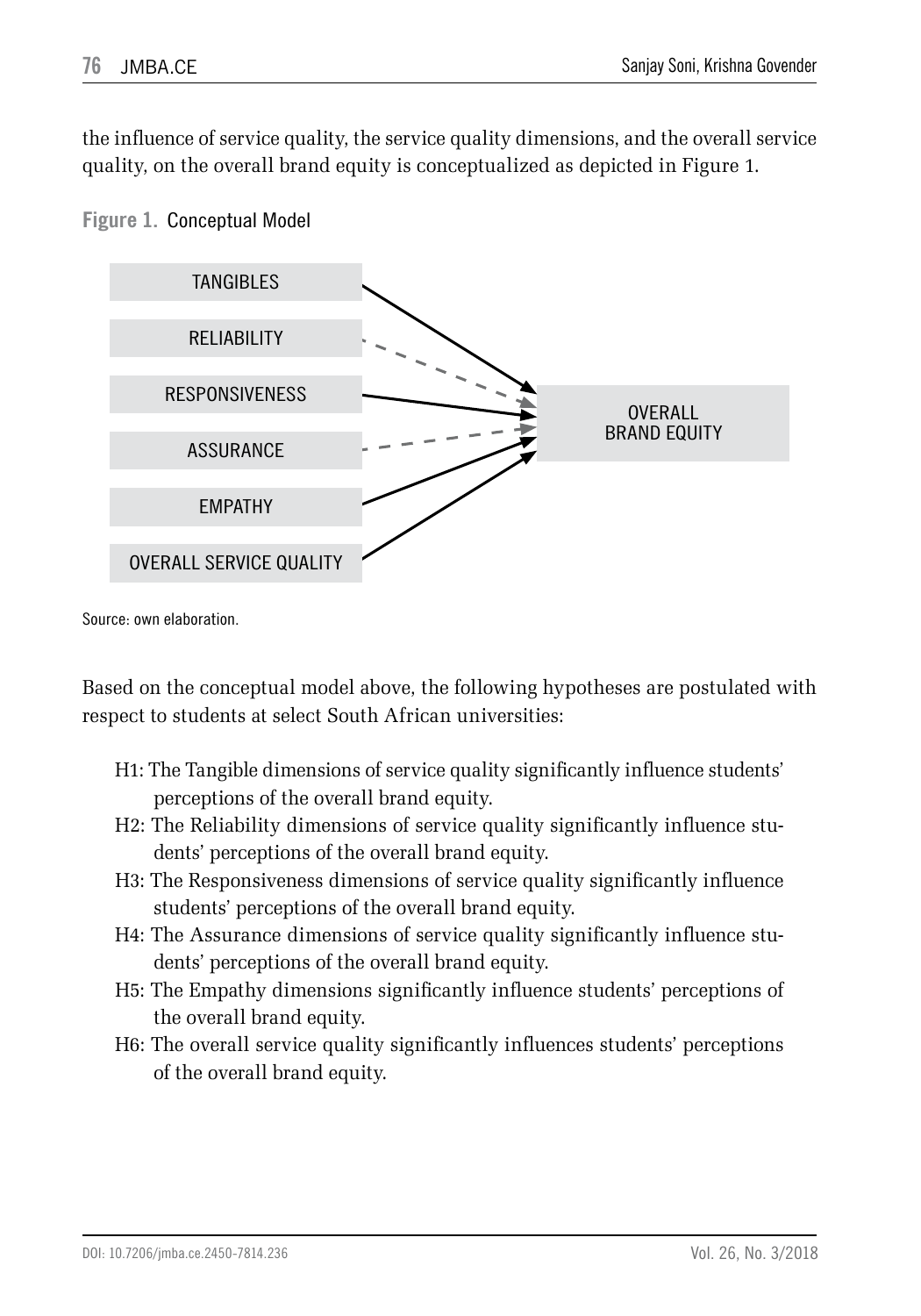the influence of service quality, the service quality dimensions, and the overall service quality, on the overall brand equity is conceptualized as depicted in Figure 1.



**Figure 1.** Conceptual Model

Source: own elaboration.

Based on the conceptual model above, the following hypotheses are postulated with respect to students at select South African universities:

- H1: The Tangible dimensions of service quality significantly influence students' perceptions of the overall brand equity.
- H2: The Reliability dimensions of service quality significantly influence students' perceptions of the overall brand equity.
- H3: The Responsiveness dimensions of service quality significantly influence students' perceptions of the overall brand equity.
- H4: The Assurance dimensions of service quality significantly influence students' perceptions of the overall brand equity.
- H5: The Empathy dimensions significantly influence students' perceptions of the overall brand equity.
- H6: The overall service quality significantly influences students' perceptions of the overall brand equity.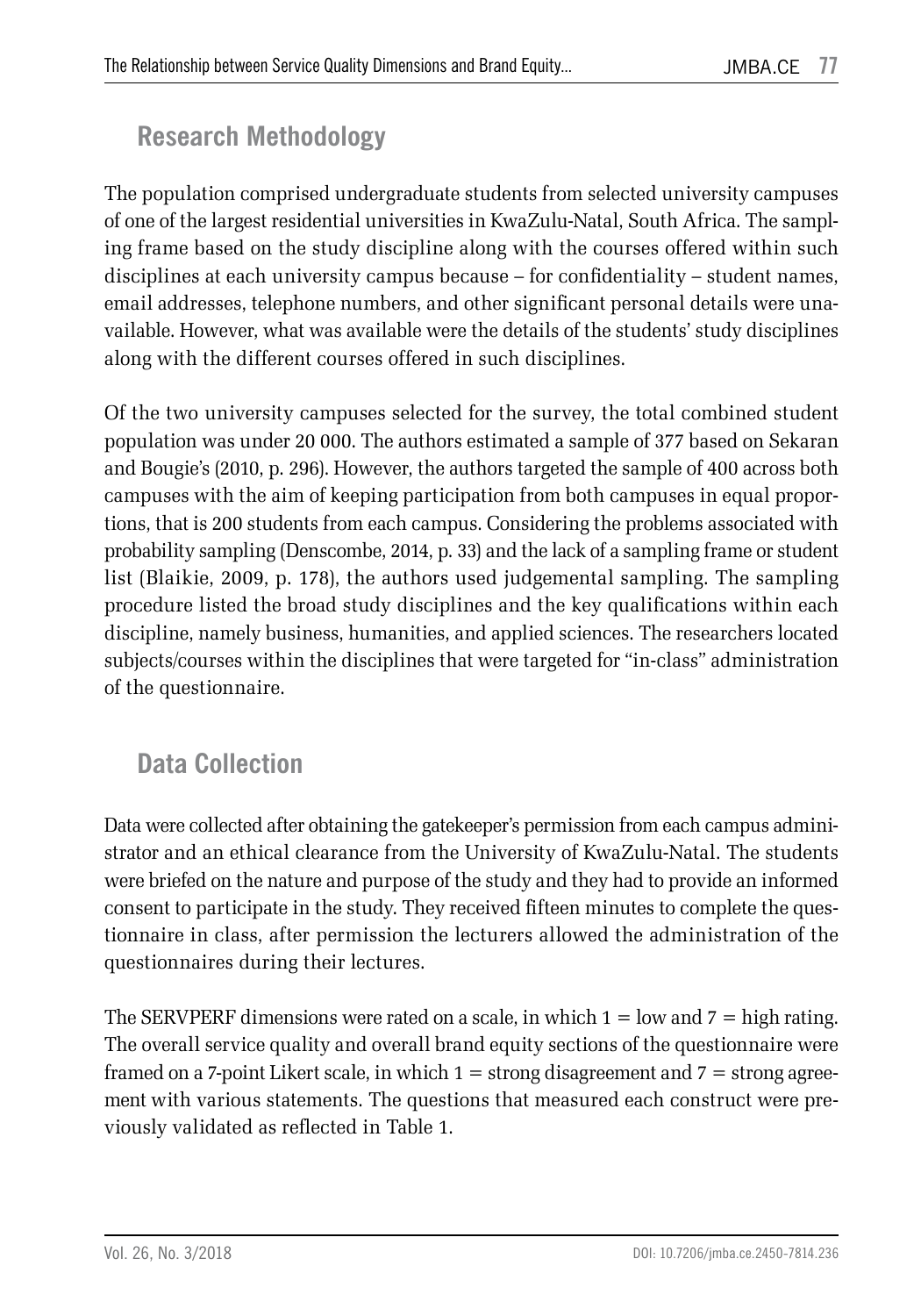# **Research Methodology**

The population comprised undergraduate students from selected university campuses of one of the largest residential universities in KwaZulu-Natal, South Africa. The sampling frame based on the study discipline along with the courses offered within such disciplines at each university campus because – for confidentiality – student names, email addresses, telephone numbers, and other significant personal details were unavailable. However, what was available were the details of the students' study disciplines along with the different courses offered in such disciplines.

Of the two university campuses selected for the survey, the total combined student population was under 20 000. The authors estimated a sample of 377 based on Sekaran and Bougie's (2010, p. 296). However, the authors targeted the sample of 400 across both campuses with the aim of keeping participation from both campuses in equal proportions, that is 200 students from each campus. Considering the problems associated with probability sampling (Denscombe, 2014, p. 33) and the lack of a sampling frame or student list (Blaikie, 2009, p. 178), the authors used judgemental sampling. The sampling procedure listed the broad study disciplines and the key qualifications within each discipline, namely business, humanities, and applied sciences. The researchers located subjects/courses within the disciplines that were targeted for "in-class" administration of the questionnaire.

# **Data Collection**

Data were collected after obtaining the gatekeeper's permission from each campus administrator and an ethical clearance from the University of KwaZulu-Natal. The students were briefed on the nature and purpose of the study and they had to provide an informed consent to participate in the study. They received fifteen minutes to complete the questionnaire in class, after permission the lecturers allowed the administration of the questionnaires during their lectures.

The SERVPERF dimensions were rated on a scale, in which  $1 =$  low and  $7 =$  high rating. The overall service quality and overall brand equity sections of the questionnaire were framed on a 7-point Likert scale, in which  $1 =$  strong disagreement and  $7 =$  strong agreement with various statements. The questions that measured each construct were previously validated as reflected in Table 1.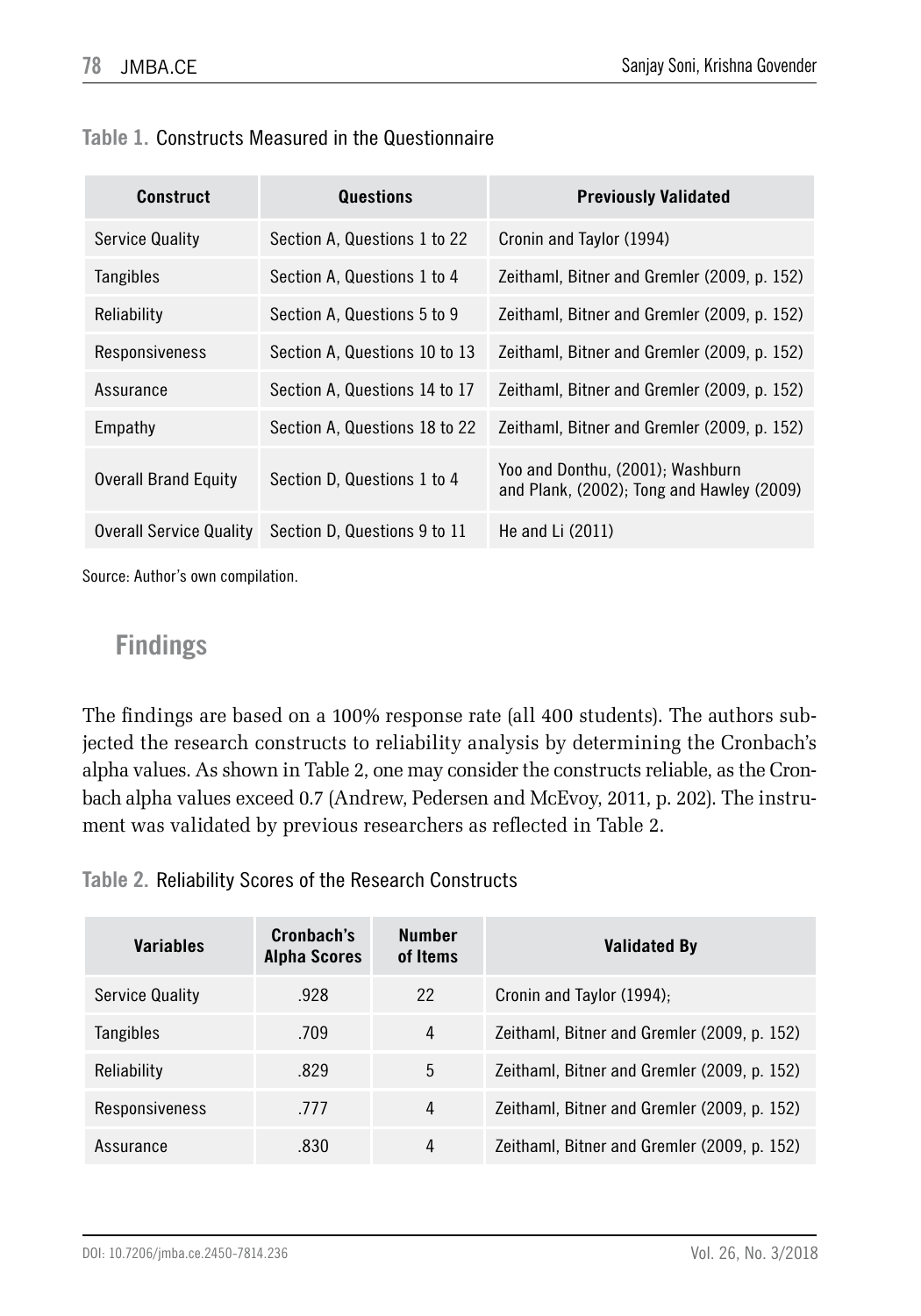|  | Table 1. Constructs Measured in the Questionnaire |  |  |
|--|---------------------------------------------------|--|--|
|--|---------------------------------------------------|--|--|

| <b>Construct</b>            | Questions                     | <b>Previously Validated</b>                                                   |
|-----------------------------|-------------------------------|-------------------------------------------------------------------------------|
| <b>Service Quality</b>      | Section A. Questions 1 to 22  | Cronin and Taylor (1994)                                                      |
| Tangibles                   | Section A. Questions 1 to 4   | Zeithaml, Bitner and Gremler (2009, p. 152)                                   |
| Reliability                 | Section A, Questions 5 to 9   | Zeithaml, Bitner and Gremler (2009, p. 152)                                   |
| Responsiveness              | Section A. Questions 10 to 13 | Zeithaml, Bitner and Gremler (2009, p. 152)                                   |
| Assurance                   | Section A. Questions 14 to 17 | Zeithaml, Bitner and Gremler (2009, p. 152)                                   |
| Empathy                     | Section A. Questions 18 to 22 | Zeithaml, Bitner and Gremler (2009, p. 152)                                   |
| <b>Overall Brand Equity</b> | Section D. Questions 1 to 4   | Yoo and Donthu, (2001); Washburn<br>and Plank, (2002); Tong and Hawley (2009) |
| Overall Service Quality     | Section D. Questions 9 to 11  | He and Li $(2011)$                                                            |

Source: Author's own compilation.

#### **Findings**

The findings are based on a 100% response rate (all 400 students). The authors subjected the research constructs to reliability analysis by determining the Cronbach's alpha values. As shown in Table 2, one may consider the constructs reliable, as the Cronbach alpha values exceed 0.7 (Andrew, Pedersen and McEvoy, 2011, p. 202). The instrument was validated by previous researchers as reflected in Table 2.

**Table 2.** Reliability Scores of the Research Constructs

| <b>Variables</b>       | Cronbach's<br><b>Alpha Scores</b> | <b>Number</b><br>of Items | Validated By                                |
|------------------------|-----------------------------------|---------------------------|---------------------------------------------|
| <b>Service Quality</b> | .928                              | 22                        | Cronin and Taylor (1994);                   |
| Tangibles              | .709                              | 4                         | Zeithaml, Bitner and Gremler (2009, p. 152) |
| Reliability            | .829                              | 5                         | Zeithaml, Bitner and Gremler (2009, p. 152) |
| Responsiveness         | .777                              | 4                         | Zeithaml, Bitner and Gremler (2009, p. 152) |
| Assurance              | .830                              | 4                         | Zeithaml, Bitner and Gremler (2009, p. 152) |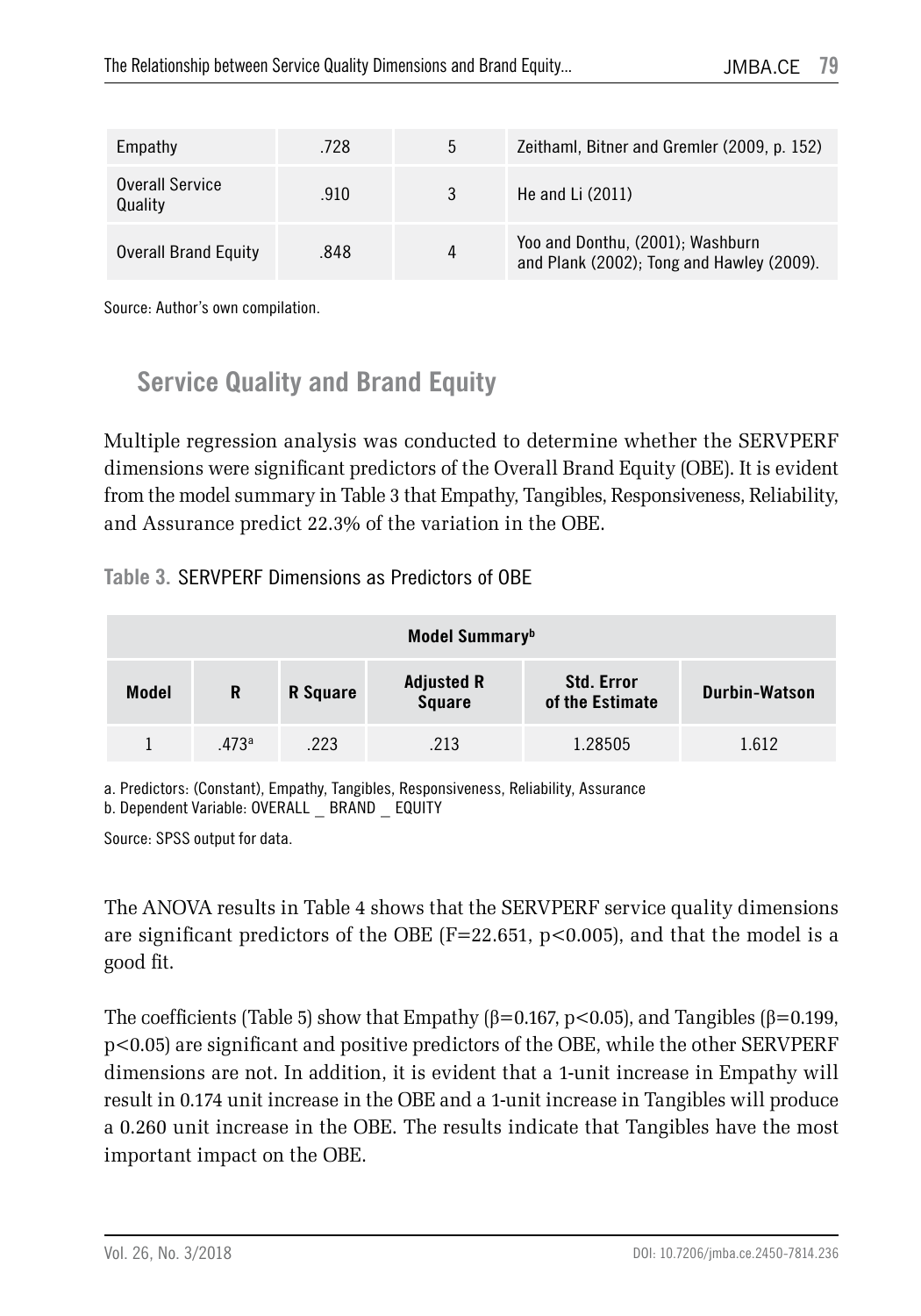| Empathy                     | .728 | 5 | Zeithaml, Bitner and Gremler (2009, p. 152)                                   |
|-----------------------------|------|---|-------------------------------------------------------------------------------|
| Overall Service<br>Quality  | .910 |   | He and Li $(2011)$                                                            |
| <b>Overall Brand Equity</b> | .848 |   | Yoo and Donthu, (2001); Washburn<br>and Plank (2002); Tong and Hawley (2009). |

Source: Author's own compilation.

### **Service Quality and Brand Equity**

Multiple regression analysis was conducted to determine whether the SERVPERF dimensions were significant predictors of the Overall Brand Equity (OBE). It is evident from the model summary in Table 3 that Empathy, Tangibles, Responsiveness, Reliability, and Assurance predict 22.3% of the variation in the OBE.

**Table 3.** SERVPERF Dimensions as Predictors of OBE

| Model Summary <sup>b</sup> |       |          |                                                                            |         |                      |  |  |
|----------------------------|-------|----------|----------------------------------------------------------------------------|---------|----------------------|--|--|
| <b>Model</b>               | R     | R Square | <b>Adjusted R</b><br><b>Std. Error</b><br><b>Square</b><br>of the Estimate |         | <b>Durbin-Watson</b> |  |  |
|                            | .473a | .223     | .213                                                                       | 1.28505 | 1.612                |  |  |

a. Predictors: (Constant), Empathy, Tangibles, Responsiveness, Reliability, Assurance b. Dependent Variable: OVERALL \_ BRAND \_ EQUITY

Source: SPSS output for data.

The ANOVA results in Table 4 shows that the SERVPERF service quality dimensions are significant predictors of the OBE (F=22.651, p<0.005), and that the model is a good fit.

The coefficients (Table 5) show that Empathy ( $\beta$ =0.167, p<0.05), and Tangibles ( $\beta$ =0.199, p<0.05) are significant and positive predictors of the OBE, while the other SERVPERF dimensions are not. In addition, it is evident that a 1-unit increase in Empathy will result in 0.174 unit increase in the OBE and a 1-unit increase in Tangibles will produce a 0.260 unit increase in the OBE. The results indicate that Tangibles have the most important impact on the OBE.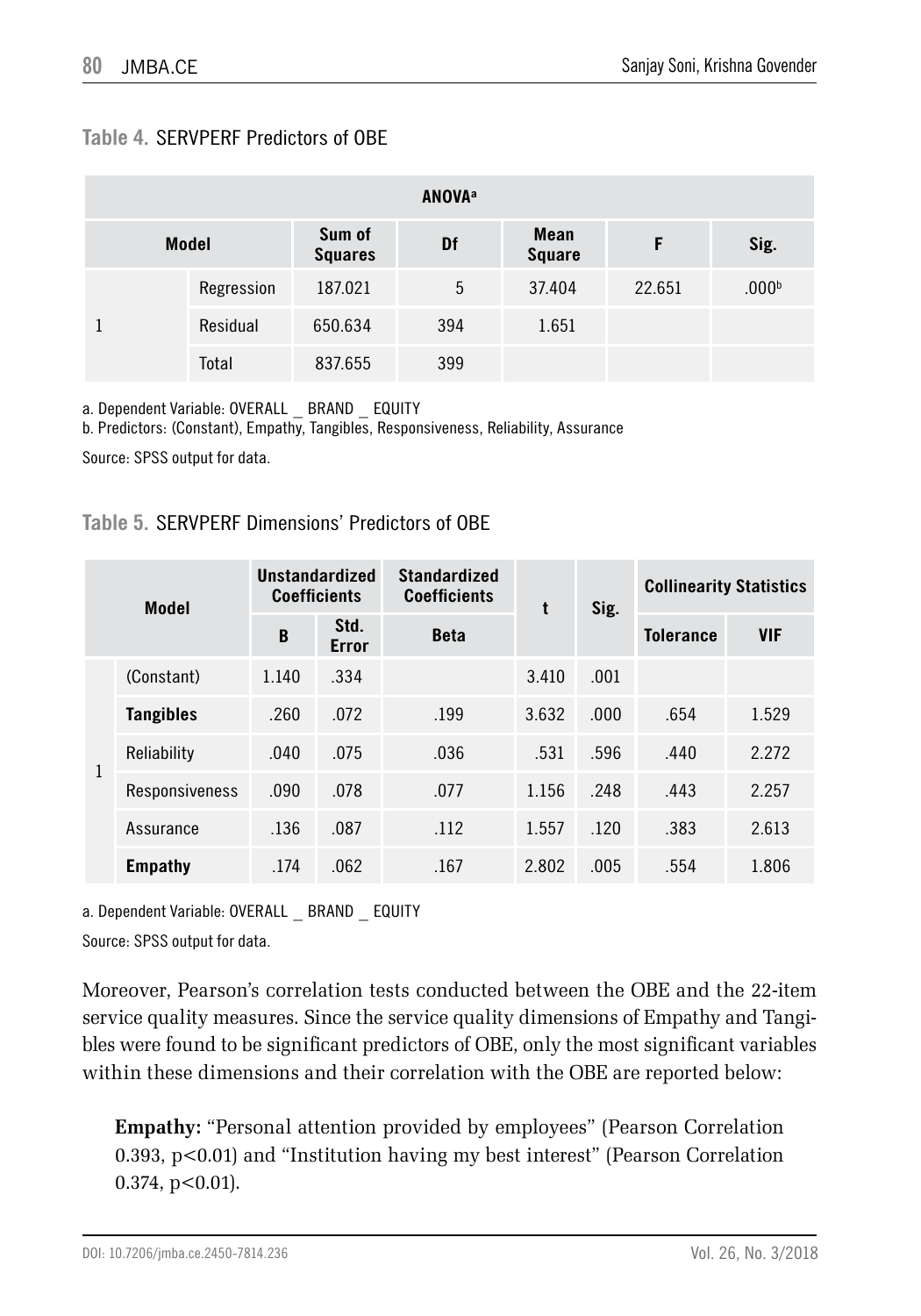#### **Table 4.** SERVPERF Predictors of OBE

| <b>ANOVA</b> <sup>a</sup> |              |                          |           |                       |        |                   |  |
|---------------------------|--------------|--------------------------|-----------|-----------------------|--------|-------------------|--|
|                           | <b>Model</b> | Sum of<br><b>Squares</b> | <b>Df</b> | Mean<br><b>Square</b> | F      | Sig.              |  |
|                           | Regression   | 187.021                  | 5         | 37.404                | 22.651 | .000 <sup>b</sup> |  |
|                           | Residual     | 650.634                  | 394       | 1.651                 |        |                   |  |
|                           | Total        | 837.655                  | 399       |                       |        |                   |  |

a. Dependent Variable: OVERALL \_ BRAND \_ EQUITY

b. Predictors: (Constant), Empathy, Tangibles, Responsiveness, Reliability, Assurance

Source: SPSS output for data.

#### **Table 5.** SERVPERF Dimensions' Predictors of OBE

|   | <b>Model</b>     | Unstandardized<br><b>Coefficients</b> |                      | <b>Standardized</b><br><b>Coefficients</b> | t     | Sig. | <b>Collinearity Statistics</b> |            |
|---|------------------|---------------------------------------|----------------------|--------------------------------------------|-------|------|--------------------------------|------------|
|   |                  | B                                     | Std.<br><b>Error</b> | <b>Beta</b>                                |       |      | <b>Tolerance</b>               | <b>VIF</b> |
|   | (Constant)       | 1.140                                 | .334                 |                                            | 3.410 | .001 |                                |            |
| 1 | <b>Tangibles</b> | .260                                  | .072                 | .199                                       | 3.632 | .000 | .654                           | 1.529      |
|   | Reliability      | .040                                  | .075                 | .036                                       | .531  | .596 | .440                           | 2.272      |
|   | Responsiveness   | .090                                  | .078                 | .077                                       | 1.156 | .248 | .443                           | 2.257      |
|   | Assurance        | .136                                  | .087                 | .112                                       | 1.557 | .120 | .383                           | 2.613      |
|   | Empathy          | .174                                  | .062                 | .167                                       | 2.802 | .005 | .554                           | 1.806      |

a. Dependent Variable: OVERALL \_ BRAND \_ EQUITY

Source: SPSS output for data.

Moreover, Pearson's correlation tests conducted between the OBE and the 22-item service quality measures. Since the service quality dimensions of Empathy and Tangibles were found to be significant predictors of OBE, only the most significant variables within these dimensions and their correlation with the OBE are reported below:

**Empathy:** "Personal attention provided by employees" (Pearson Correlation 0.393, p<0.01) and "Institution having my best interest" (Pearson Correlation  $0.374, p<0.01$ ).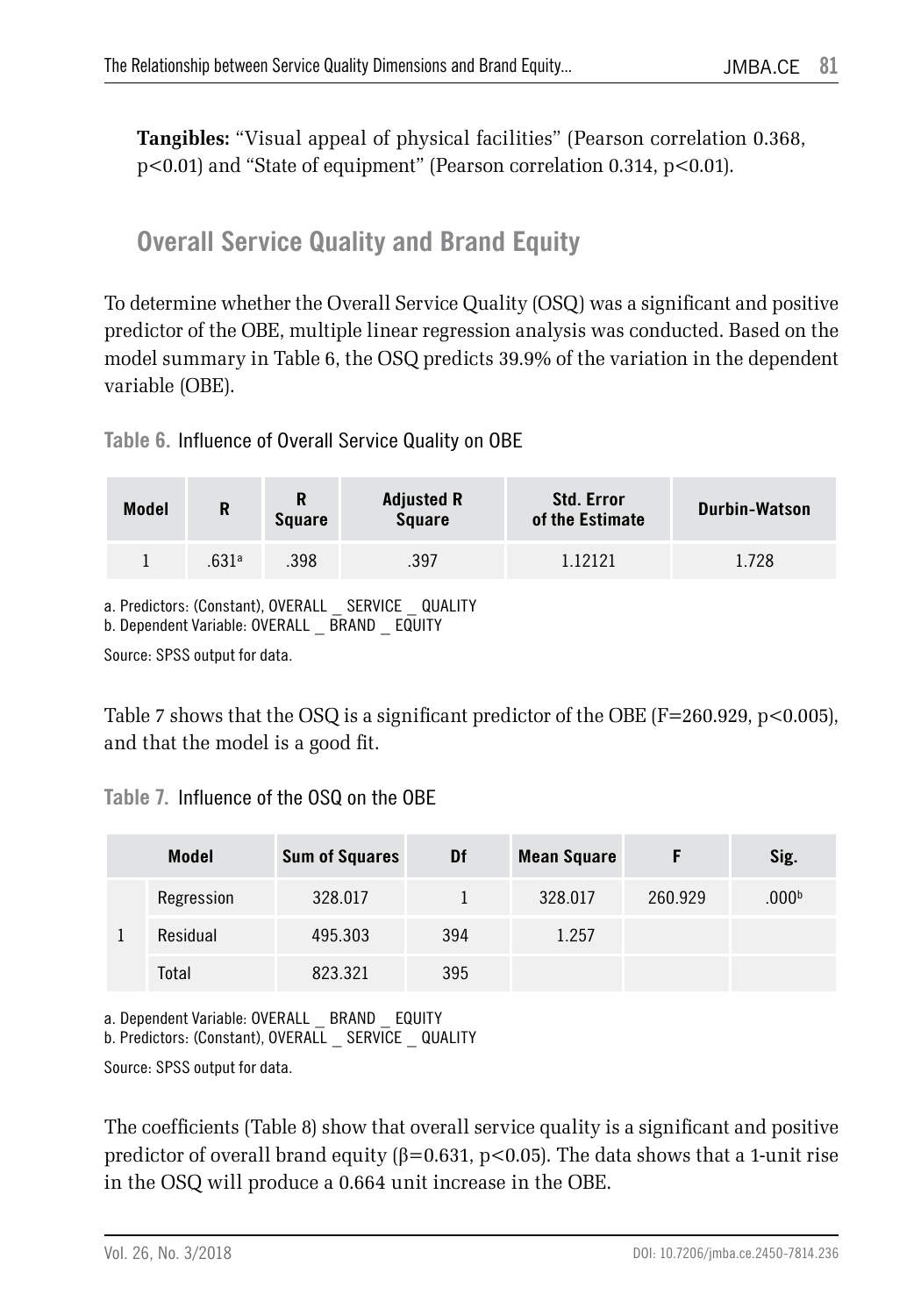**Tangibles:** "Visual appeal of physical facilities" (Pearson correlation 0.368, p<0.01) and "State of equipment" (Pearson correlation 0.314, p<0.01).

### **Overall Service Quality and Brand Equity**

To determine whether the Overall Service Quality (OSQ) was a significant and positive predictor of the OBE, multiple linear regression analysis was conducted. Based on the model summary in Table 6, the OSQ predicts 39.9% of the variation in the dependent variable (OBE).

**Table 6.** Influence of Overall Service Quality on OBE

| <b>Model</b>                                       | R                 | R<br><b>Square</b> | <b>Adjusted R</b><br>Square | <b>Std. Error</b><br>of the Estimate | Durbin-Watson |  |  |
|----------------------------------------------------|-------------------|--------------------|-----------------------------|--------------------------------------|---------------|--|--|
|                                                    | .631 <sup>a</sup> | .398               | .397                        | 1.12121                              | 1.728         |  |  |
| a. Predictors: (Constant), OVERALL SERVICE QUALITY |                   |                    |                             |                                      |               |  |  |

b. Dependent Variable: OVERALL \_ BRAND \_ EQUITY

Source: SPSS output for data.

Table 7 shows that the OSQ is a significant predictor of the OBE ( $F=260.929, p<0.005$ ), and that the model is a good fit.

#### **Table 7.** Influence of the OSQ on the OBE

|  | <b>Model</b> | <b>Sum of Squares</b> | Df  | <b>Mean Square</b> |         | Sig.              |
|--|--------------|-----------------------|-----|--------------------|---------|-------------------|
|  | Regression   | 328.017               |     | 328.017            | 260.929 | .000 <sup>b</sup> |
|  | Residual     | 495.303               | 394 | 1.257              |         |                   |
|  | Total        | 823.321               | 395 |                    |         |                   |

a. Dependent Variable: OVERALL \_ BRAND \_ EQUITY b. Predictors: (Constant), OVERALL \_ SERVICE \_ QUALITY

Source: SPSS output for data.

The coefficients (Table 8) show that overall service quality is a significant and positive predictor of overall brand equity (β=0.631, p<0.05). The data shows that a 1-unit rise in the OSQ will produce a 0.664 unit increase in the OBE.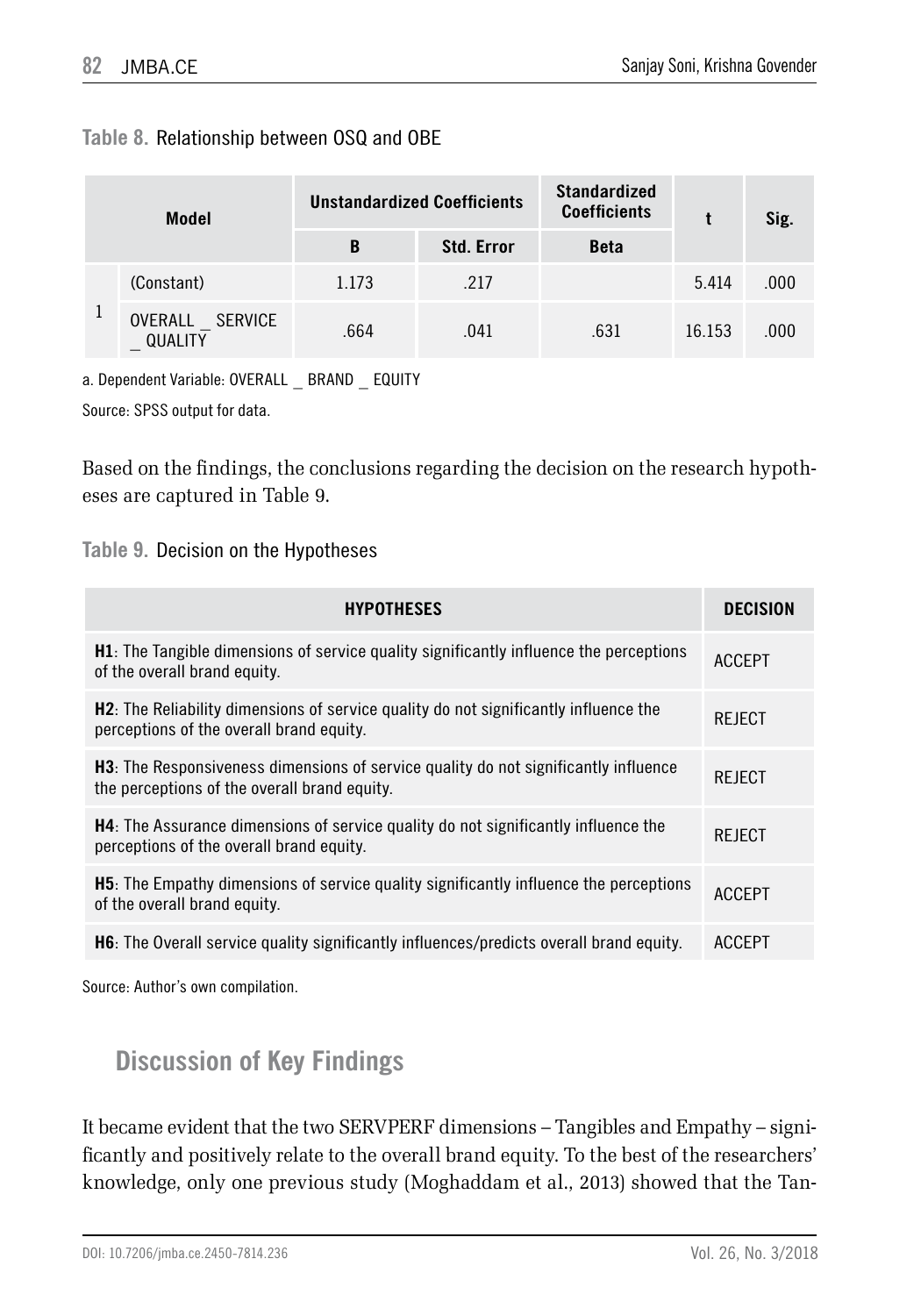#### **Table 8.** Relationship between OSQ and OBE

| <b>Model</b> |                               |       | <b>Unstandardized Coefficients</b> | <b>Standardized</b><br><b>Coefficients</b> |        | Sig. |  |
|--------------|-------------------------------|-------|------------------------------------|--------------------------------------------|--------|------|--|
|              |                               | B     | <b>Std. Error</b>                  | <b>Beta</b>                                |        |      |  |
|              | (Constant)                    | 1.173 | .217                               |                                            | 5.414  | .000 |  |
| Ŧ            | SERVICE<br>OVERALL<br>QUALITY | .664  | .041                               | .631                                       | 16.153 | .000 |  |

a. Dependent Variable: OVERALL \_ BRAND \_ EQUITY

Source: SPSS output for data.

Based on the findings, the conclusions regarding the decision on the research hypotheses are captured in Table 9.

**Table 9.** Decision on the Hypotheses

| <b>HYPOTHESES</b>                                                                                                                           | DECISION      |
|---------------------------------------------------------------------------------------------------------------------------------------------|---------------|
| <b>H1</b> : The Tangible dimensions of service quality significantly influence the perceptions<br>of the overall brand equity.              | <b>ACCEPT</b> |
| <b>H2</b> : The Reliability dimensions of service quality do not significantly influence the<br>perceptions of the overall brand equity.    | <b>REJECT</b> |
| <b>H3</b> : The Responsiveness dimensions of service quality do not significantly influence<br>the perceptions of the overall brand equity. | <b>REJECT</b> |
| <b>H4</b> : The Assurance dimensions of service quality do not significantly influence the<br>perceptions of the overall brand equity.      | REJECT        |
| <b>H5</b> : The Empathy dimensions of service quality significantly influence the perceptions<br>of the overall brand equity.               | <b>ACCEPT</b> |
| <b>H6</b> : The Overall service quality significantly influences/predicts overall brand equity.                                             | <b>ACCEPT</b> |

Source: Author's own compilation.

### **Discussion of Key Findings**

It became evident that the two SERVPERF dimensions – Tangibles and Empathy – significantly and positively relate to the overall brand equity. To the best of the researchers' knowledge, only one previous study (Moghaddam et al., 2013) showed that the Tan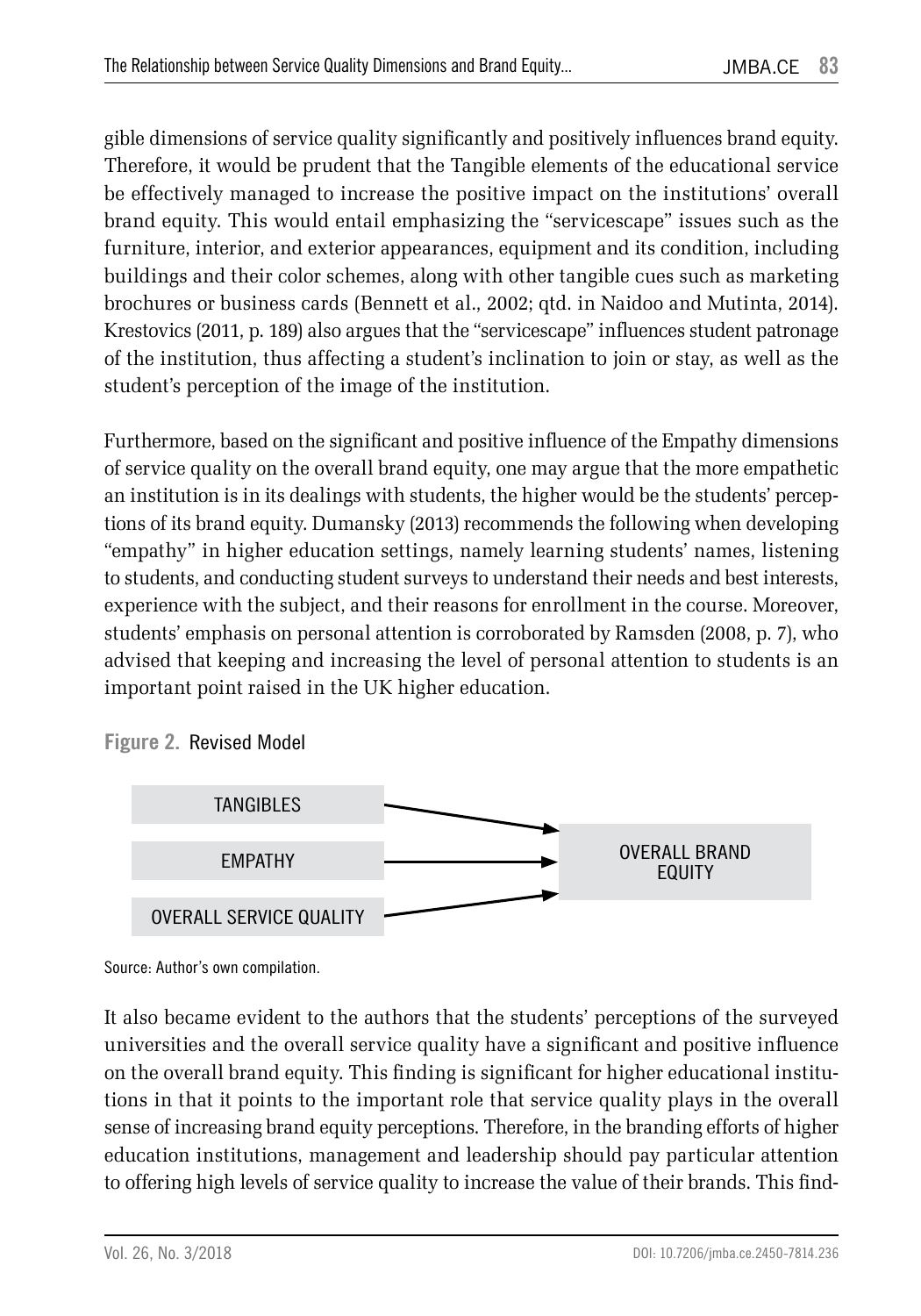gible dimensions of service quality significantly and positively influences brand equity. Therefore, it would be prudent that the Tangible elements of the educational service be effectively managed to increase the positive impact on the institutions' overall brand equity. This would entail emphasizing the "servicescape" issues such as the furniture, interior, and exterior appearances, equipment and its condition, including buildings and their color schemes, along with other tangible cues such as marketing brochures or business cards (Bennett et al., 2002; qtd. in Naidoo and Mutinta, 2014). Krestovics (2011, p. 189) also argues that the "servicescape" influences student patronage of the institution, thus affecting a student's inclination to join or stay, as well as the student's perception of the image of the institution.

Furthermore, based on the significant and positive influence of the Empathy dimensions of service quality on the overall brand equity, one may argue that the more empathetic an institution is in its dealings with students, the higher would be the students' perceptions of its brand equity. Dumansky (2013) recommends the following when developing "empathy" in higher education settings, namely learning students' names, listening to students, and conducting student surveys to understand their needs and best interests, experience with the subject, and their reasons for enrollment in the course. Moreover, students' emphasis on personal attention is corroborated by Ramsden (2008, p. 7), who advised that keeping and increasing the level of personal attention to students is an important point raised in the UK higher education.



**Figure 2.** Revised Model

Source: Author's own compilation.

It also became evident to the authors that the students' perceptions of the surveyed universities and the overall service quality have a significant and positive influence on the overall brand equity. This finding is significant for higher educational institutions in that it points to the important role that service quality plays in the overall sense of increasing brand equity perceptions. Therefore, in the branding efforts of higher education institutions, management and leadership should pay particular attention to offering high levels of service quality to increase the value of their brands. This find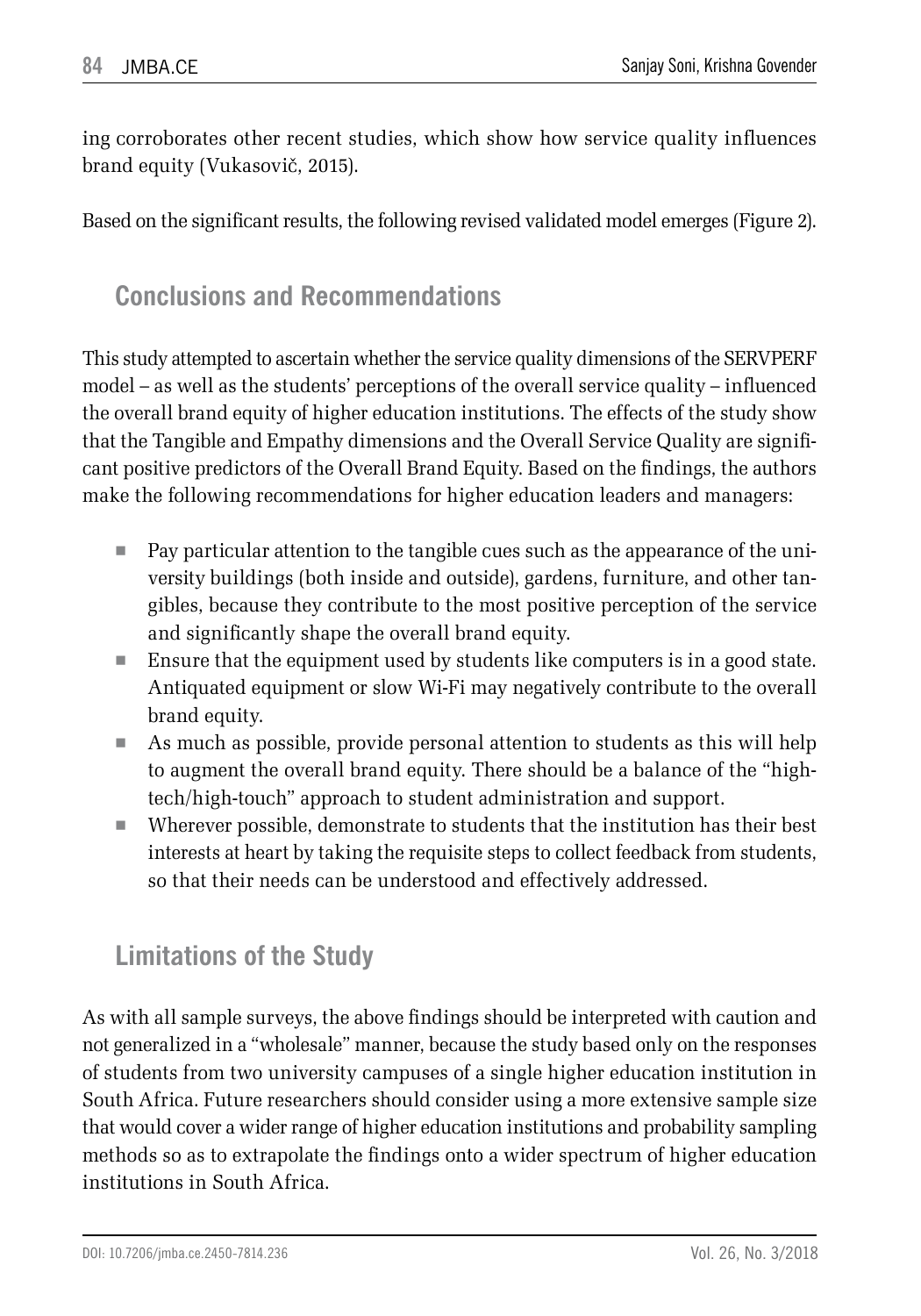ing corroborates other recent studies, which show how service quality influences brand equity (Vukasovič, 2015).

Based on the significant results, the following revised validated model emerges (Figure 2).

#### **Conclusions and Recommendations**

This study attempted to ascertain whether the service quality dimensions of the SERVPERF model – as well as the students' perceptions of the overall service quality – influenced the overall brand equity of higher education institutions. The effects of the study show that the Tangible and Empathy dimensions and the Overall Service Quality are significant positive predictors of the Overall Brand Equity. Based on the findings, the authors make the following recommendations for higher education leaders and managers:

- Pay particular attention to the tangible cues such as the appearance of the university buildings (both inside and outside), gardens, furniture, and other tangibles, because they contribute to the most positive perception of the service and significantly shape the overall brand equity.
- Ensure that the equipment used by students like computers is in a good state. Antiquated equipment or slow Wi-Fi may negatively contribute to the overall brand equity.
- As much as possible, provide personal attention to students as this will help to augment the overall brand equity. There should be a balance of the "hightech/high-touch" approach to student administration and support.
- Wherever possible, demonstrate to students that the institution has their best interests at heart by taking the requisite steps to collect feedback from students, so that their needs can be understood and effectively addressed.

#### **Limitations of the Study**

As with all sample surveys, the above findings should be interpreted with caution and not generalized in a "wholesale" manner, because the study based only on the responses of students from two university campuses of a single higher education institution in South Africa. Future researchers should consider using a more extensive sample size that would cover a wider range of higher education institutions and probability sampling methods so as to extrapolate the findings onto a wider spectrum of higher education institutions in South Africa.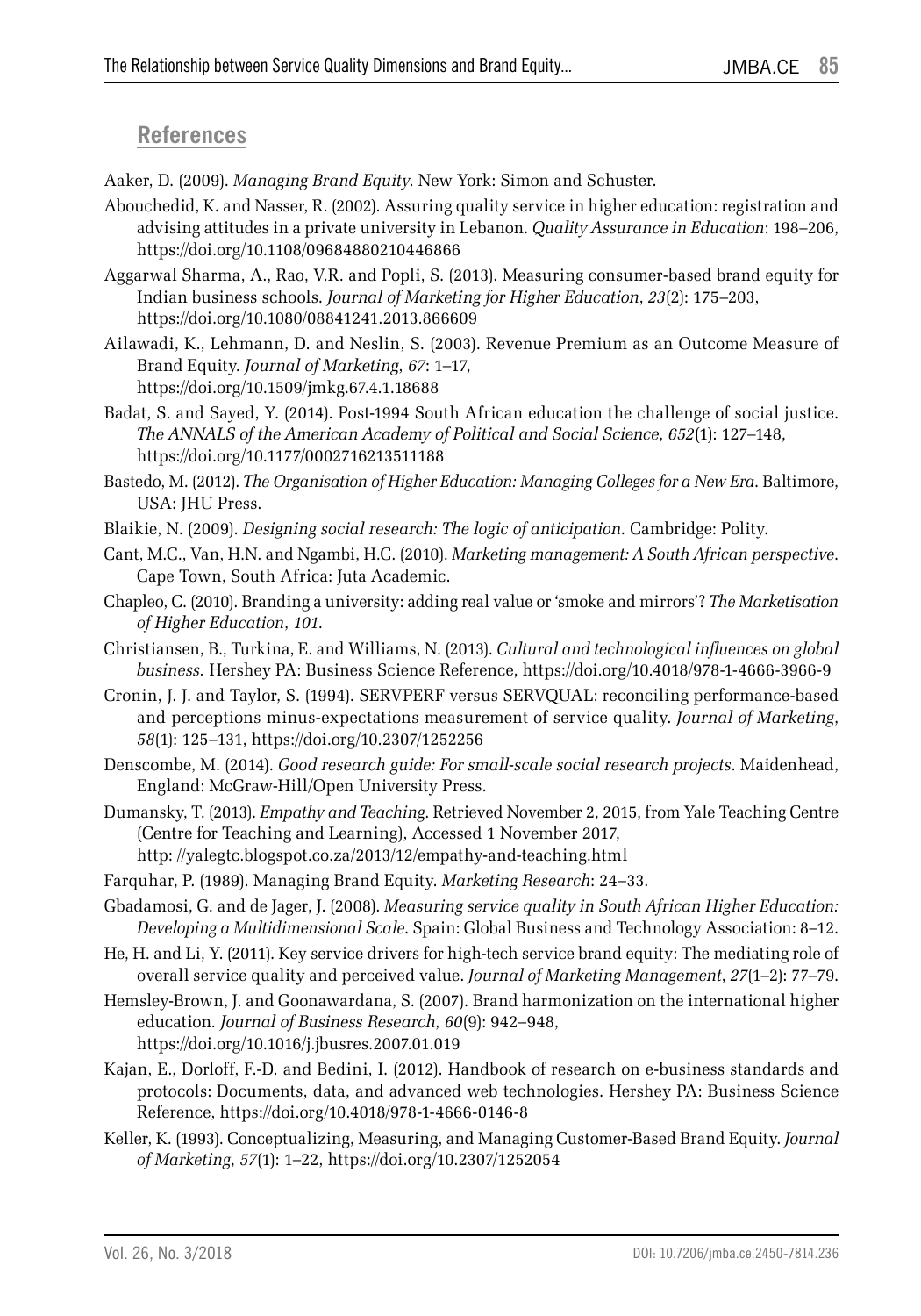#### **References**

Aaker, D. (2009). *Managing Brand Equity*. New York: Simon and Schuster.

- Abouchedid, K. and Nasser, R. (2002). Assuring quality service in higher education: registration and advising attitudes in a private university in Lebanon. *Quality Assurance in Education*: 198–206, https://doi.org/10.1108/09684880210446866
- Aggarwal Sharma, A., Rao, V.R. and Popli, S. (2013). Measuring consumer-based brand equity for Indian business schools. *Journal of Marketing for Higher Education*, *23*(2): 175–203, https://doi.org/10.1080/08841241.2013.866609
- Ailawadi, K., Lehmann, D. and Neslin, S. (2003). Revenue Premium as an Outcome Measure of Brand Equity*. Journal of Marketing*, *67*: 1–17, https://doi.org/10.1509/jmkg.67.4.1.18688
- Badat, S. and Sayed, Y. (2014). Post-1994 South African education the challenge of social justice. *The ANNALS of the American Academy of Political and Social Science*, *652*(1): 127–148, https://doi.org/10.1177/0002716213511188
- Bastedo, M. (2012). *The Organisation of Higher Education: Managing Colleges for a New Era*. Baltimore, USA: JHU Press.
- Blaikie, N. (2009). *Designing social research: The logic of anticipation*. Cambridge: Polity.
- Cant, M.C., Van, H.N. and Ngambi, H.C. (2010). *Marketing management: A South African perspective*. Cape Town, South Africa: Juta Academic.
- Chapleo, C. (2010). Branding a university: adding real value or 'smoke and mirrors'? *The Marketisation of Higher Education*, *101*.
- Christiansen, B., Turkina, E. and Williams, N. (2013). *Cultural and technological influences on global business.* Hershey PA: Business Science Reference, https://doi.org/10.4018/978-1-4666-3966-9
- Cronin, J. J. and Taylor, S. (1994). SERVPERF versus SERVQUAL: reconciling performance-based and perceptions minus-expectations measurement of service quality. *Journal of Marketing*, *58*(1): 125–131, https://doi.org/10.2307/1252256
- Denscombe, M. (2014). *Good research guide: For small-scale social research projects*. Maidenhead, England: McGraw-Hill/Open University Press.
- Dumansky, T. (2013). *Empathy and Teaching*. Retrieved November 2, 2015, from Yale Teaching Centre (Centre for Teaching and Learning), Accessed 1 November 2017, http: //yalegtc.blogspot.co.za/2013/12/empathy-and-teaching.html
- Farquhar, P. (1989). Managing Brand Equity. *Marketing Research*: 24–33.
- Gbadamosi, G. and de Jager, J. (2008). *Measuring service quality in South African Higher Education: Developing a Multidimensional Scale*. Spain: Global Business and Technology Association: 8–12.
- He, H. and Li, Y. (2011). Key service drivers for high-tech service brand equity: The mediating role of overall service quality and perceived value. *Journal of Marketing Management*, *27*(1–2): 77–79.
- Hemsley-Brown, J. and Goonawardana, S. (2007). Brand harmonization on the international higher education*. Journal of Business Research*, *60*(9): 942–948, https://doi.org/10.1016/j.jbusres.2007.01.019
- Kajan, E., Dorloff, F.-D. and Bedini, I. (2012). Handbook of research on e-business standards and protocols: Documents, data, and advanced web technologies. Hershey PA: Business Science Reference, https://doi.org/10.4018/978-1-4666-0146-8
- Keller, K. (1993). Conceptualizing, Measuring, and Managing Customer-Based Brand Equity. *Journal of Marketing*, *57*(1): 1–22, https://doi.org/10.2307/1252054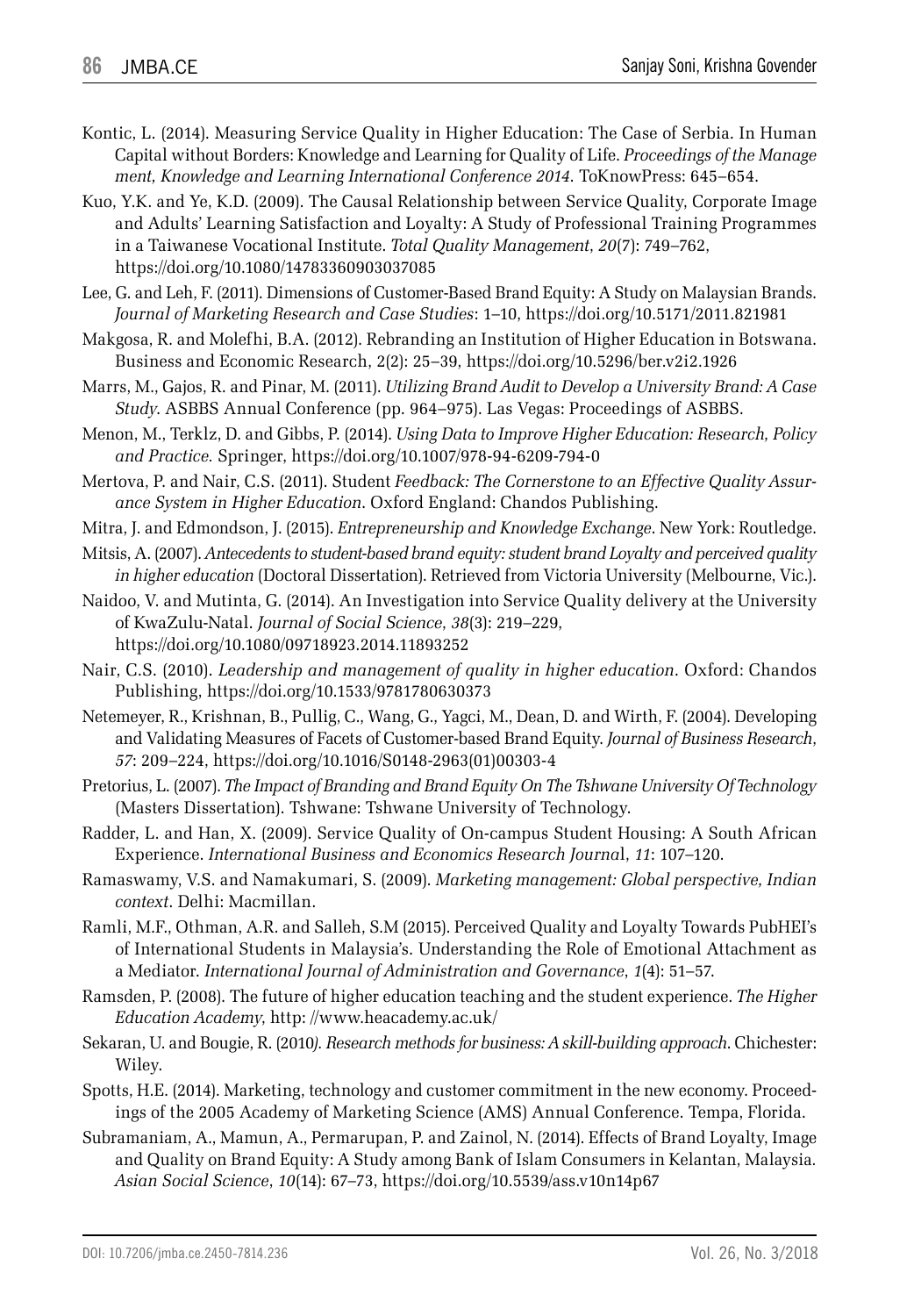- Kontic, L. (2014). Measuring Service Quality in Higher Education: The Case of Serbia. In Human Capital without Borders: Knowledge and Learning for Quality of Life. *Proceedings of the Manage ment, Knowledge and Learning International Conference 2014*. ToKnowPress: 645–654.
- Kuo, Y.K. and Ye, K.D. (2009). The Causal Relationship between Service Quality, Corporate Image and Adults' Learning Satisfaction and Loyalty: A Study of Professional Training Programmes in a Taiwanese Vocational Institute. *Total Quality Management*, *20*(7): 749–762, https://doi.org/10.1080/14783360903037085
- Lee, G. and Leh, F. (2011). Dimensions of Customer-Based Brand Equity: A Study on Malaysian Brands. *Journal of Marketing Research and Case Studies*: 1–10, https://doi.org/10.5171/2011.821981
- Makgosa, R. and Molefhi, B.A. (2012). Rebranding an Institution of Higher Education in Botswana. Business and Economic Research, 2(2): 25–39, https://doi.org/10.5296/ber.v2i2.1926
- Marrs, M., Gajos, R. and Pinar, M. (2011). *Utilizing Brand Audit to Develop a University Brand: A Case Study*. ASBBS Annual Conference (pp. 964–975). Las Vegas: Proceedings of ASBBS.
- Menon, M., Terklz, D. and Gibbs, P. (2014). *Using Data to Improve Higher Education: Research, Policy and Practice.* Springer, https://doi.org/10.1007/978-94-6209-794-0
- Mertova, P. and Nair, C.S. (2011). Student *Feedback: The Cornerstone to an Effective Quality Assurance System in Higher Education*. Oxford England: Chandos Publishing.
- Mitra, J. and Edmondson, J. (2015). *Entrepreneurship and Knowledge Exchange*. New York: Routledge.
- Mitsis, A. (2007). *Antecedents to student-based brand equity: student brand Loyalty and perceived quality in higher education* (Doctoral Dissertation). Retrieved from Victoria University (Melbourne, Vic.).
- Naidoo, V. and Mutinta, G. (2014). An Investigation into Service Quality delivery at the University of KwaZulu-Natal. *Journal of Social Science*, *38*(3): 219–229, https://doi.org/10.1080/09718923.2014.11893252
- Nair, C.S. (2010). *Leadership and management of quality in higher education*. Oxford: Chandos Publishing, https://doi.org/10.1533/9781780630373
- Netemeyer, R., Krishnan, B., Pullig, C., Wang, G., Yagci, M., Dean, D. and Wirth, F. (2004). Developing and Validating Measures of Facets of Customer-based Brand Equity. *Journal of Business Research*, *57*: 209–224, https://doi.org/10.1016/S0148-2963(01)00303-4
- Pretorius, L. (2007). *The Impact of Branding and Brand Equity On The Tshwane University Of Technology* (Masters Dissertation). Tshwane: Tshwane University of Technology.
- Radder, L. and Han, X. (2009). Service Quality of On-campus Student Housing: A South African Experience. *International Business and Economics Research Journa*l, *11*: 107–120.
- Ramaswamy, V.S. and Namakumari, S. (2009). *Marketing management: Global perspective, Indian context*. Delhi: Macmillan.
- Ramli, M.F., Othman, A.R. and Salleh, S.M (2015). Perceived Quality and Loyalty Towards PubHEI's of International Students in Malaysia's. Understanding the Role of Emotional Attachment as a Mediator. *International Journal of Administration and Governance*, *1*(4): 51–57.
- Ramsden, P. (2008). The future of higher education teaching and the student experience. *The Higher Education Academy*, http: //www.heacademy.ac.uk/
- Sekaran, U. and Bougie, R. (2010*). Research methods for business: A skill-building approach*. Chichester: Wiley.
- Spotts, H.E. (2014). Marketing, technology and customer commitment in the new economy. Proceedings of the 2005 Academy of Marketing Science (AMS) Annual Conference. Tempa, Florida.
- Subramaniam, A., Mamun, A., Permarupan, P. and Zainol, N. (2014). Effects of Brand Loyalty, Image and Quality on Brand Equity: A Study among Bank of Islam Consumers in Kelantan, Malaysia*. Asian Social Science*, *10*(14): 67–73, https://doi.org/10.5539/ass.v10n14p67